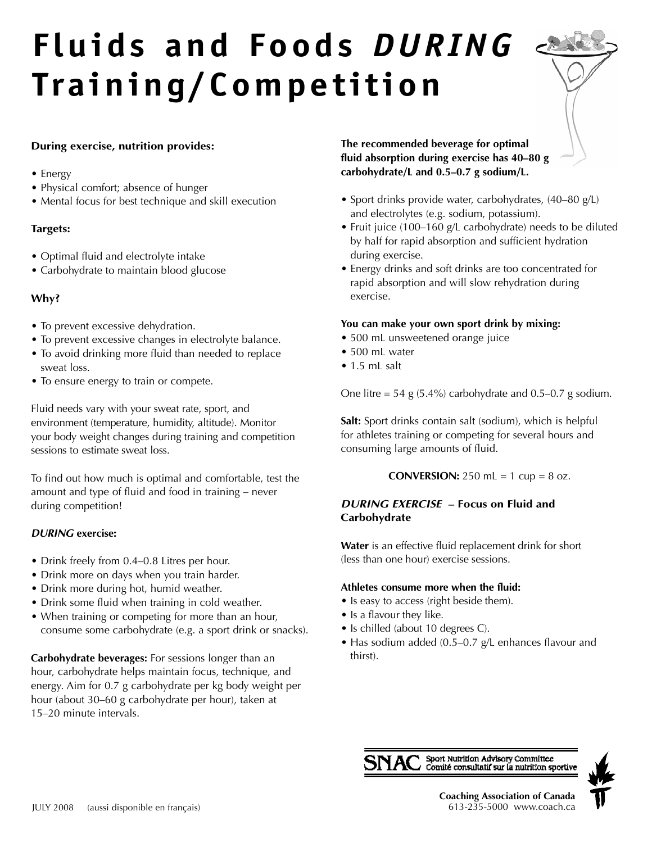# **Fluids and Foods** *D U R I N G* **Tra i n i n g / C o m p e t i t i o n**

# **During exercise, nutrition provides:**

- Energy
- Physical comfort; absence of hunger
- Mental focus for best technique and skill execution

### **Targets:**

- Optimal fluid and electrolyte intake
- Carbohydrate to maintain blood glucose

# **Why?**

- To prevent excessive dehydration.
- To prevent excessive changes in electrolyte balance.
- To avoid drinking more fluid than needed to replace sweat loss.
- To ensure energy to train or compete.

Fluid needs vary with your sweat rate, sport, and environment (temperature, humidity, altitude). Monitor your body weight changes during training and competition sessions to estimate sweat loss.

To find out how much is optimal and comfortable, test the amount and type of fluid and food in training – never during competition!

## $D$ *URING* exercise:

- Drink freely from 0.4–0.8 Litres per hour.
- Drink more on days when you train harder.
- Drink more during hot, humid weather.
- Drink some fluid when training in cold weather.
- When training or competing for more than an hour, consume some carbohydrate (e.g. a sport drink or snacks).

**Carbohydrate beverages:** For sessions longer than an hour, carbohydrate helps maintain focus, technique, and energy. Aim for 0.7 g carbohydrate per kg body weight per hour (about 30–60 g carbohydrate per hour), taken at 15–20 minute intervals.

**The recommended beverage for optimal fluid absorption during exercise has 40–80 g carbohydrate/L and 0.5–0.7 g sodium/L.**

- Sport drinks provide water, carbohydrates, (40–80 g/L) and electrolytes (e.g. sodium, potassium).
- Fruit juice (100–160 g/L carbohydrate) needs to be diluted by half for rapid absorption and sufficient hydration during exercise.
- Energy drinks and soft drinks are too concentrated for rapid absorption and will slow rehydration during exercise.

## **You can make your own sport drink by mixing:**

- 500 mL unsweetened orange juice
- 500 mL water
- $\bullet$  1.5 mL salt

One litre = 54 g  $(5.4\%)$  carbohydrate and 0.5–0.7 g sodium.

**Salt:** Sport drinks contain salt (sodium), which is helpful for athletes training or competing for several hours and consuming large amounts of fluid.

**CONVERSION:**  $250$  mL = 1 cup = 8 oz.

# *DURING EXERCISE* **– Focus on Fluid and Carbohydrate**

Water is an effective fluid replacement drink for short (less than one hour) exercise sessions.

## **Athletes consume more when the fluid:**

- Is easy to access (right beside them).
- Is a flavour they like.
- Is chilled (about 10 degrees C).
- Has sodium added (0.5–0.7 g/L enhances flavour and thirst).